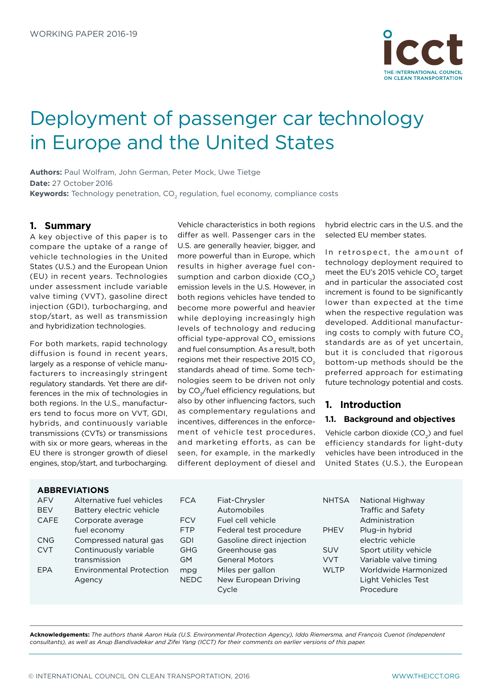

# Deployment of passenger car technology in Europe and the United States

**Authors:** Paul Wolfram, John German, Peter Mock, Uwe Tietge **Date:** 27 October 2016 **Keywords:** Technology penetration, CO<sub>2</sub> regulation, fuel economy, compliance costs

## **1. Summary**

A key objective of this paper is to compare the uptake of a range of vehicle technologies in the United States (U.S.) and the European Union (EU) in recent years. Technologies under assessment include variable valve timing (VVT), gasoline direct injection (GDI), turbocharging, and stop/start, as well as transmission and hybridization technologies.

For both markets, rapid technology diffusion is found in recent years, largely as a response of vehicle manufacturers to increasingly stringent regulatory standards. Yet there are differences in the mix of technologies in both regions. In the U.S., manufacturers tend to focus more on VVT, GDI, hybrids, and continuously variable transmissions (CVTs) or transmissions with six or more gears, whereas in the EU there is stronger growth of diesel engines, stop/start, and turbocharging.

Vehicle characteristics in both regions differ as well. Passenger cars in the U.S. are generally heavier, bigger, and more powerful than in Europe, which results in higher average fuel consumption and carbon dioxide  $(CO<sub>a</sub>)$ emission levels in the U.S. However, in both regions vehicles have tended to become more powerful and heavier while deploying increasingly high levels of technology and reducing official type-approval CO<sub>2</sub> emissions and fuel consumption. As a result, both regions met their respective 2015 CO<sub>2</sub> standards ahead of time. Some technologies seem to be driven not only by CO<sub>2</sub>/fuel efficiency regulations, but also by other influencing factors, such as complementary regulations and incentives, differences in the enforcement of vehicle test procedures, and marketing efforts, as can be seen, for example, in the markedly different deployment of diesel and

hybrid electric cars in the U.S. and the selected EU member states.

In retrospect, the amount of technology deployment required to meet the EU's 2015 vehicle CO<sub>2</sub> target and in particular the associated cost increment is found to be significantly lower than expected at the time when the respective regulation was developed. Additional manufacturing costs to comply with future CO. standards are as of yet uncertain, but it is concluded that rigorous bottom-up methods should be the preferred approach for estimating future technology potential and costs.

## **1. Introduction**

#### **1.1. Background and objectives**

Vehicle carbon dioxide (CO<sub>2</sub>) and fuel efficiency standards for light-duty vehicles have been introduced in the United States (U.S.), the European

#### **ABBREVIATIONS**

| <b>AFV</b>  | Alternative fuel vehicles       | <b>FCA</b>  | Fiat-Chrysler             | <b>NHTSA</b> | National Highway      |
|-------------|---------------------------------|-------------|---------------------------|--------------|-----------------------|
| <b>BEV</b>  | Battery electric vehicle        |             | Automobiles               |              | Traffic and Safety    |
| <b>CAFE</b> | Corporate average               | <b>FCV</b>  | Fuel cell vehicle         |              | Administration        |
|             | fuel economy                    | <b>FTP</b>  | Federal test procedure    | <b>PHEV</b>  | Plug-in hybrid        |
| <b>CNG</b>  | Compressed natural gas          | <b>GDI</b>  | Gasoline direct injection |              | electric vehicle      |
| <b>CVT</b>  | Continuously variable           | <b>GHG</b>  | Greenhouse gas            | <b>SUV</b>   | Sport utility vehicle |
|             | transmission                    | GM.         | <b>General Motors</b>     | <b>VVT</b>   | Variable valve timing |
| <b>EPA</b>  | <b>Environmental Protection</b> | mpg         | Miles per gallon          | <b>WLTP</b>  | Worldwide Harmonized  |
|             | Agency                          | <b>NEDC</b> | New European Driving      |              | Light Vehicles Test   |
|             |                                 |             | Cycle                     |              | Procedure             |
|             |                                 |             |                           |              |                       |

**Acknowledgements:** *The authors thank Aaron Hula (U.S. Environmental Protection Agency), Iddo Riemersma, and François Cuenot (independent consultants), as well as Anup Bandivadekar and Zifei Yang (ICCT) for their comments on earlier versions of this paper.*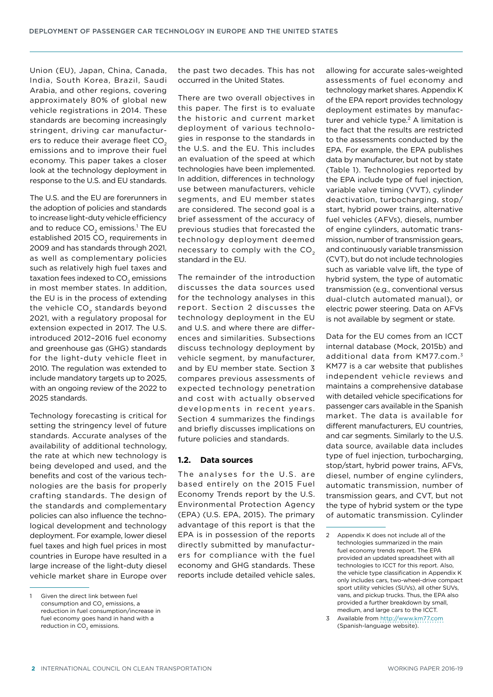Union (EU), Japan, China, Canada, India, South Korea, Brazil, Saudi Arabia, and other regions, covering approximately 80% of global new vehicle registrations in 2014. These standards are becoming increasingly stringent, driving car manufacturers to reduce their average fleet CO<sub>2</sub> emissions and to improve their fuel economy. This paper takes a closer look at the technology deployment in response to the U.S. and EU standards.

The U.S. and the EU are forerunners in the adoption of policies and standards to increase light-duty vehicle efficiency and to reduce CO $_2$  emissions. $^1$  The EU established 2015  $CO<sub>2</sub>$  requirements in 2009 and has standards through 2021, as well as complementary policies such as relatively high fuel taxes and taxation fees indexed to CO<sub>2</sub> emissions in most member states. In addition, the EU is in the process of extending the vehicle CO<sub>2</sub> standards beyond 2021, with a regulatory proposal for extension expected in 2017. The U.S. introduced 2012–2016 fuel economy and greenhouse gas (GHG) standards for the light-duty vehicle fleet in 2010. The regulation was extended to include mandatory targets up to 2025, with an ongoing review of the 2022 to 2025 standards.

Technology forecasting is critical for setting the stringency level of future standards. Accurate analyses of the availability of additional technology, the rate at which new technology is being developed and used, and the benefits and cost of the various technologies are the basis for properly crafting standards. The design of the standards and complementary policies can also influence the technological development and technology deployment. For example, lower diesel fuel taxes and high fuel prices in most countries in Europe have resulted in a large increase of the light-duty diesel vehicle market share in Europe over the past two decades. This has not occurred in the United States.

There are two overall objectives in this paper. The first is to evaluate the historic and current market deployment of various technologies in response to the standards in the U.S. and the EU. This includes an evaluation of the speed at which technologies have been implemented. In addition, differences in technology use between manufacturers, vehicle segments, and EU member states are considered. The second goal is a brief assessment of the accuracy of previous studies that forecasted the technology deployment deemed necessary to comply with the CO<sub>2</sub> standard in the EU.

The remainder of the introduction discusses the data sources used for the technology analyses in this report. Section 2 discusses the technology deployment in the EU and U.S. and where there are differences and similarities. Subsections discuss technology deployment by vehicle segment, by manufacturer, and by EU member state. Section 3 compares previous assessments of expected technology penetration and cost with actually observed developments in recent years. Section 4 summarizes the findings and briefly discusses implications on future policies and standards.

#### **1.2. Data sources**

The analyses for the U.S. are based entirely on the 2015 Fuel Economy Trends report by the U.S. Environmental Protection Agency (EPA) (U.S. EPA, 2015). The primary advantage of this report is that the EPA is in possession of the reports directly submitted by manufacturers for compliance with the fuel economy and GHG standards. These reports include detailed vehicle sales,

allowing for accurate sales-weighted assessments of fuel economy and technology market shares. Appendix K of the EPA report provides technology deployment estimates by manufacturer and vehicle type.<sup>2</sup> A limitation is the fact that the results are restricted to the assessments conducted by the EPA. For example, the EPA publishes data by manufacturer, but not by state (Table 1). Technologies reported by the EPA include type of fuel injection, variable valve timing (VVT), cylinder deactivation, turbocharging, stop/ start, hybrid power trains, alternative fuel vehicles (AFVs), diesels, number of engine cylinders, automatic transmission, number of transmission gears, and continuously variable transmission (CVT), but do not include technologies such as variable valve lift, the type of hybrid system, the type of automatic transmission (e.g., conventional versus dual-clutch automated manual), or electric power steering. Data on AFVs is not available by segment or state.

Data for the EU comes from an ICCT internal database (Mock, 2015b) and additional data from KM77.com.3 KM77 is a car website that publishes independent vehicle reviews and maintains a comprehensive database with detailed vehicle specifications for passenger cars available in the Spanish market. The data is available for different manufacturers, EU countries, and car segments. Similarly to the U.S. data source, available data includes type of fuel injection, turbocharging, stop/start, hybrid power trains, AFVs, diesel, number of engine cylinders, automatic transmission, number of transmission gears, and CVT, but not the type of hybrid system or the type of automatic transmission. Cylinder

<sup>1</sup> Given the direct link between fuel consumption and CO<sub>2</sub> emissions, a reduction in fuel consumption/increase in fuel economy goes hand in hand with a reduction in  $CO<sub>2</sub>$  emissions.

<sup>2</sup> Appendix K does not include all of the technologies summarized in the main fuel economy trends report. The EPA provided an updated spreadsheet with all technologies to ICCT for this report. Also, the vehicle type classification in Appendix K only includes cars, two-wheel-drive compact sport utility vehicles (SUVs), all other SUVs, vans, and pickup trucks. Thus, the EPA also provided a further breakdown by small, medium, and large cars to the ICCT.

<sup>3</sup> Available from<http://www.km77.com> (Spanish-language website).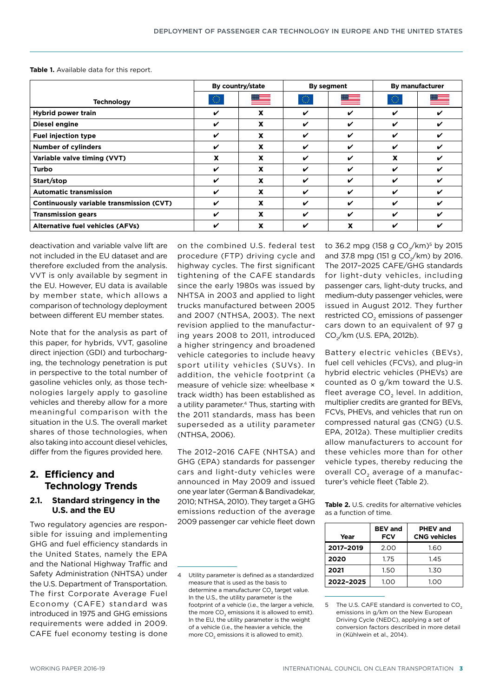|                                          | By country/state |    | By segment |    | <b>By manufacturer</b> |                                                                                                                                                                                                                                |
|------------------------------------------|------------------|----|------------|----|------------------------|--------------------------------------------------------------------------------------------------------------------------------------------------------------------------------------------------------------------------------|
| <b>Technology</b>                        | $\bigcirc$       | ▀▀ | $\bigcirc$ | ▓▓ | $\bigcirc$             | and a strong of the strong of the strong of the strong of the strong of the strong of the strong of the strong of the strong of the strong of the strong of the strong of the strong of the strong of the strong of the strong |
| <b>Hybrid power train</b>                | V                | X  | ✔          | ✔  | ✓                      | ✔                                                                                                                                                                                                                              |
| Diesel engine                            | ✓                | x  | ✔          | ✓  | ✓                      | ✓                                                                                                                                                                                                                              |
| <b>Fuel injection type</b>               |                  | x  | ✔          | ✔  | ✔                      | V                                                                                                                                                                                                                              |
| <b>Number of cylinders</b>               | ✓                | X  | ✔          | ✔  | ✓                      | ✔                                                                                                                                                                                                                              |
| Variable valve timing (VVT)              | X                | x  | V          | ✔  | X                      | ✓                                                                                                                                                                                                                              |
| Turbo                                    | ✓                | x  | ✔          | ✔  | ✓                      | ✔                                                                                                                                                                                                                              |
| Start/stop                               | ✓                | X  | ✓          | ✔  | ✓                      | ✔                                                                                                                                                                                                                              |
| <b>Automatic transmission</b>            | V                | x  | ✓          | ✔  | ✓                      | ✔                                                                                                                                                                                                                              |
| Continuously variable transmission (CVT) | ✓                | X  | ✓          | ✔  | ✓                      | ✔                                                                                                                                                                                                                              |
| <b>Transmission gears</b>                | V                | x  | ✓          | ✔  | ✔                      | ✔                                                                                                                                                                                                                              |
| <b>Alternative fuel vehicles (AFVs)</b>  |                  | x  | ✔          | x  | ✔                      | V                                                                                                                                                                                                                              |

**Table 1.** Available data for this report.

deactivation and variable valve lift are not included in the EU dataset and are therefore excluded from the analysis. VVT is only available by segment in the EU. However, EU data is available by member state, which allows a comparison of technology deployment between different EU member states.

Note that for the analysis as part of this paper, for hybrids, VVT, gasoline direct injection (GDI) and turbocharging, the technology penetration is put in perspective to the total number of gasoline vehicles only, as those technologies largely apply to gasoline vehicles and thereby allow for a more meaningful comparison with the situation in the U.S. The overall market shares of those technologies, when also taking into account diesel vehicles, differ from the figures provided here.

# **2. Efficiency and Technology Trends**

#### **2.1. Standard stringency in the U.S. and the EU**

Two regulatory agencies are responsible for issuing and implementing GHG and fuel efficiency standards in the United States, namely the EPA and the National Highway Traffic and Safety Administration (NHTSA) under the U.S. Department of Transportation. The first Corporate Average Fuel Economy (CAFE) standard was introduced in 1975 and GHG emissions requirements were added in 2009. CAFE fuel economy testing is done on the combined U.S. federal test procedure (FTP) driving cycle and highway cycles. The first significant tightening of the CAFE standards since the early 1980s was issued by NHTSA in 2003 and applied to light trucks manufactured between 2005 and 2007 (NTHSA, 2003). The next revision applied to the manufacturing years 2008 to 2011, introduced a higher stringency and broadened vehicle categories to include heavy sport utility vehicles (SUVs). In addition, the vehicle footprint (a measure of vehicle size: wheelbase × track width) has been established as a utility parameter.<sup>4</sup> Thus, starting with the 2011 standards, mass has been superseded as a utility parameter (NTHSA, 2006).

The 2012–2016 CAFE (NHTSA) and GHG (EPA) standards for passenger cars and light-duty vehicles were announced in May 2009 and issued one year later (German & Bandivadekar, 2010; NTHSA, 2010). They target a GHG emissions reduction of the average 2009 passenger car vehicle fleet down

to 36.2 mpg (158 g CO $\sqrt{(km)^5}$  by 2015 and 37.8 mpg (151 g  $CO_2/km$ ) by 2016. The 2017–2025 CAFE/GHG standards for light-duty vehicles, including passenger cars, light-duty trucks, and medium-duty passenger vehicles, were issued in August 2012. They further restricted CO<sub>2</sub> emissions of passenger cars down to an equivalent of 97 g CO2/km (U.S. EPA, 2012b).

Battery electric vehicles (BEVs), fuel cell vehicles (FCVs), and plug-in hybrid electric vehicles (PHEVs) are counted as 0 g/km toward the U.S. fleet average CO<sub>2</sub> level. In addition, multiplier credits are granted for BEVs, FCVs, PHEVs, and vehicles that run on compressed natural gas (CNG) (U.S. EPA, 2012a). These multiplier credits allow manufacturers to account for these vehicles more than for other vehicle types, thereby reducing the overall  $CO<sub>2</sub>$  average of a manufacturer's vehicle fleet (Table 2).

**Table 2.** U.S. credits for alternative vehicles as a function of time.

| Year      | <b>BEV</b> and<br>FCV | <b>PHEV</b> and<br><b>CNG vehicles</b> |
|-----------|-----------------------|----------------------------------------|
| 2017-2019 | 2.00                  | 1.60                                   |
| 2020      | 1.75                  | 1.45                                   |
| 2021      | 1.50                  | 1.30                                   |
| 2022-2025 | 1.00                  | 1.00                                   |

<sup>5</sup> The U.S. CAFE standard is converted to CO. emissions in g/km on the New European Driving Cycle (NEDC), applying a set of conversion factors described in more detail in (Kühlwein et al., 2014).

<sup>4</sup> Utility parameter is defined as a standardized measure that is used as the basis to determine a manufacturer CO<sub>2</sub> target value. In the U.S., the utility parameter is the footprint of a vehicle  $(i e_1 h_1 e_2)$  the larger a vehicle the more CO<sub>2</sub> emissions it is allowed to emit). In the EU, the utility parameter is the weight of a vehicle (i.e., the heavier a vehicle, the more CO<sub>2</sub> emissions it is allowed to emit).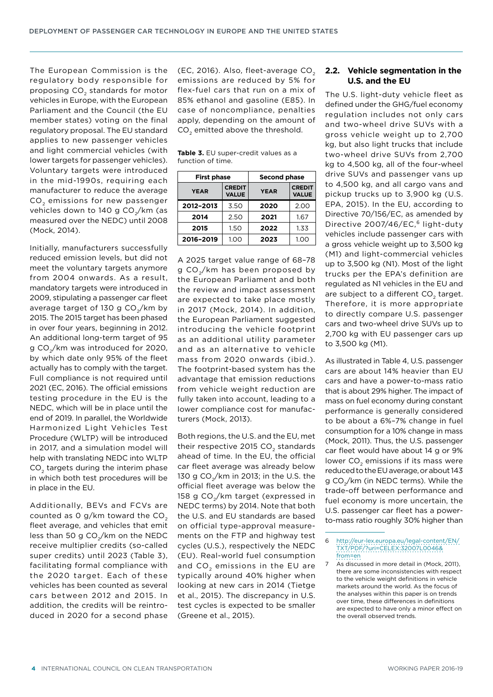The European Commission is the regulatory body responsible for proposing CO<sub>2</sub> standards for motor vehicles in Europe, with the European Parliament and the Council (the EU member states) voting on the final regulatory proposal. The EU standard applies to new passenger vehicles and light commercial vehicles (with lower targets for passenger vehicles). Voluntary targets were introduced in the mid-1990s, requiring each manufacturer to reduce the average CO<sub>2</sub> emissions for new passenger vehicles down to 140 g CO<sub>2</sub>/km (as measured over the NEDC) until 2008 (Mock, 2014).

Initially, manufacturers successfully reduced emission levels, but did not meet the voluntary targets anymore from 2004 onwards. As a result, mandatory targets were introduced in 2009, stipulating a passenger car fleet average target of 130 g  $CO<sub>2</sub>/km$  by 2015. The 2015 target has been phased in over four years, beginning in 2012. An additional long-term target of 95 g CO<sub>2</sub>/km was introduced for 2020, by which date only 95% of the fleet actually has to comply with the target. Full compliance is not required until 2021 (EC, 2016). The official emissions testing procedure in the EU is the NEDC, which will be in place until the end of 2019. In parallel, the Worldwide Harmonized Light Vehicles Test Procedure (WLTP) will be introduced in 2017, and a simulation model will help with translating NEDC into WLTP CO<sub>2</sub> targets during the interim phase in which both test procedures will be in place in the EU.

Additionally, BEVs and FCVs are counted as  $0$  g/km toward the  $CO<sub>2</sub>$ fleet average, and vehicles that emit less than 50 g CO<sub>2</sub>/km on the NEDC receive multiplier credits (so-called super credits) until 2023 (Table 3), facilitating formal compliance with the 2020 target. Each of these vehicles has been counted as several cars between 2012 and 2015. In addition, the credits will be reintroduced in 2020 for a second phase (EC, 2016). Also, fleet-average CO<sub>2</sub> emissions are reduced by 5% for flex-fuel cars that run on a mix of 85% ethanol and gasoline (E85). In case of noncompliance, penalties apply, depending on the amount of CO<sub>2</sub> emitted above the threshold.

**Table 3.** EU super-credit values as a function of time.

| <b>First phase</b> |                               | <b>Second phase</b> |                               |  |  |
|--------------------|-------------------------------|---------------------|-------------------------------|--|--|
| <b>YEAR</b>        | <b>CREDIT</b><br><b>VALUE</b> |                     | <b>CREDIT</b><br><b>VALUE</b> |  |  |
| 2012-2013          | 3.50                          | 2020                | 2.00                          |  |  |
| 2014               | 2.50                          | 2021                | 1.67                          |  |  |
| 2015               | 1.50                          | 2022                | 1.33                          |  |  |
| 2016-2019          | 1.00                          | 2023                | 1.00                          |  |  |

A 2025 target value range of 68–78 g CO<sub>2</sub>/km has been proposed by the European Parliament and both the review and impact assessment are expected to take place mostly in 2017 (Mock, 2014). In addition, the European Parliament suggested introducing the vehicle footprint as an additional utility parameter and as an alternative to vehicle mass from 2020 onwards (ibid.). The footprint-based system has the advantage that emission reductions from vehicle weight reduction are fully taken into account, leading to a lower compliance cost for manufacturers (Mock, 2013).

Both regions, the U.S. and the EU, met their respective 2015  $CO<sub>2</sub>$  standards ahead of time. In the EU, the official car fleet average was already below 130 g CO<sub>2</sub>/km in 2013; in the U.S. the official fleet average was below the 158 g CO<sub>2</sub>/km target (expressed in NEDC terms) by 2014. Note that both the U.S. and EU standards are based on official type-approval measurements on the FTP and highway test cycles (U.S.), respectively the NEDC (EU). Real-world fuel consumption and CO<sub>2</sub> emissions in the EU are typically around 40% higher when looking at new cars in 2014 (Tietge et al., 2015). The discrepancy in U.S. test cycles is expected to be smaller (Greene et al., 2015).

#### **2.2. Vehicle segmentation in the U.S. and the EU**

The U.S. light-duty vehicle fleet as defined under the GHG/fuel economy regulation includes not only cars and two-wheel drive SUVs with a gross vehicle weight up to 2,700 kg, but also light trucks that include two-wheel drive SUVs from 2,700 kg to 4,500 kg, all of the four-wheel drive SUVs and passenger vans up to 4,500 kg, and all cargo vans and pickup trucks up to 3,900 kg (U.S. EPA, 2015). In the EU, according to Directive 70/156/EC, as amended by Directive 2007/46/EC,<sup>6</sup> light-duty vehicles include passenger cars with a gross vehicle weight up to 3,500 kg (M1) and light-commercial vehicles up to 3,500 kg (N1). Most of the light trucks per the EPA's definition are regulated as N1 vehicles in the EU and are subject to a different CO<sub>2</sub> target. Therefore, it is more appropriate to directly compare U.S. passenger cars and two-wheel drive SUVs up to 2,700 kg with EU passenger cars up to 3,500 kg (M1).

As illustrated in Table 4, U.S. passenger cars are about 14% heavier than EU cars and have a power-to-mass ratio that is about 29% higher. The impact of mass on fuel economy during constant performance is generally considered to be about a 6%–7% change in fuel consumption for a 10% change in mass (Mock, 2011). Thus, the U.S. passenger car fleet would have about 14 g or 9% lower CO<sub>2</sub> emissions if its mass were reduced to the EU average, or about 143 g CO<sub>2</sub>/km (in NEDC terms). While the trade-off between performance and fuel economy is more uncertain, the U.S. passenger car fleet has a powerto-mass ratio roughly 30% higher than

<sup>6</sup> [http://eur-lex.europa.eu/legal-content/EN/](http://eur-lex.europa.eu/legal-content/EN/TXT/PDF/?uri=CELEX:32007L0046&from=en) [TXT/PDF/?uri=CELEX:32007L0046&](http://eur-lex.europa.eu/legal-content/EN/TXT/PDF/?uri=CELEX:32007L0046&from=en) [from=en](http://eur-lex.europa.eu/legal-content/EN/TXT/PDF/?uri=CELEX:32007L0046&from=en)

<sup>7</sup> As discussed in more detail in (Mock, 2011), there are some inconsistencies with respect to the vehicle weight definitions in vehicle markets around the world. As the focus of the analyses within this paper is on trends over time, these differences in definitions are expected to have only a minor effect on the overall observed trends.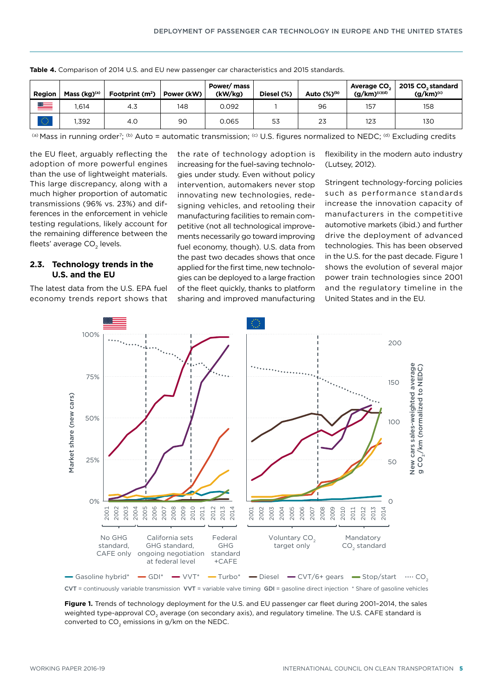| Region         | Mass (kg) <sup>(a)</sup> | Footprint $(m2)$ | Power (kW) | Power/mass<br>(kW/kg) | Diesel (%) | Auto $(\%)^{(b)}$ | Average CO.<br>$(g/km)^{(c)(d)}$ | 2015 CO, standard<br>$(g/km)^{(c)}$ |
|----------------|--------------------------|------------------|------------|-----------------------|------------|-------------------|----------------------------------|-------------------------------------|
| <u>star</u>    | .614                     | 4.3              | 148        | 0.092                 |            | 96                | 157                              | 158                                 |
| 12772<br>26,62 | i.392                    | 4.0              | 90         | 0.065                 | 53         | 23                | 123                              | 130                                 |

**Table 4.** Comparison of 2014 U.S. and EU new passenger car characteristics and 2015 standards.

(a) Mass in running order<sup>7</sup>; (b) Auto = automatic transmission; <sup>(c)</sup> U.S. figures normalized to NEDC; <sup>(d)</sup> Excluding credits

the EU fleet, arguably reflecting the adoption of more powerful engines than the use of lightweight materials. This large discrepancy, along with a much higher proportion of automatic transmissions (96% vs. 23%) and differences in the enforcement in vehicle testing regulations, likely account for the remaining difference between the fleets' average CO<sub>2</sub> levels.

#### **2.3. Technology trends in the U.S. and the EU**

The latest data from the U.S. EPA fuel economy trends report shows that the rate of technology adoption is increasing for the fuel-saving technologies under study. Even without policy intervention, automakers never stop innovating new technologies, redesigning vehicles, and retooling their manufacturing facilities to remain competitive (not all technological improvements necessarily go toward improving fuel economy, though). U.S. data from the past two decades shows that once applied for the first time, new technologies can be deployed to a large fraction of the fleet quickly, thanks to platform sharing and improved manufacturing flexibility in the modern auto industry (Lutsey, 2012).

Stringent technology-forcing policies such as performance standards increase the innovation capacity of manufacturers in the competitive automotive markets (ibid.) and further drive the deployment of advanced technologies. This has been observed in the U.S. for the past decade. Figure 1 shows the evolution of several major power train technologies since 2001 and the regulatory timeline in the United States and in the EU.



CVT = continuously variable transmission VVT = variable valve timing GDI = gasoline direct injection \* Share of gasoline vehicles

**Figure 1.** Trends of technology deployment for the U.S. and EU passenger car fleet during 2001–2014, the sales weighted type-approval CO<sub>2</sub> average (on secondary axis), and regulatory timeline. The U.S. CAFE standard is converted to  $CO<sub>2</sub>$  emissions in g/km on the NEDC.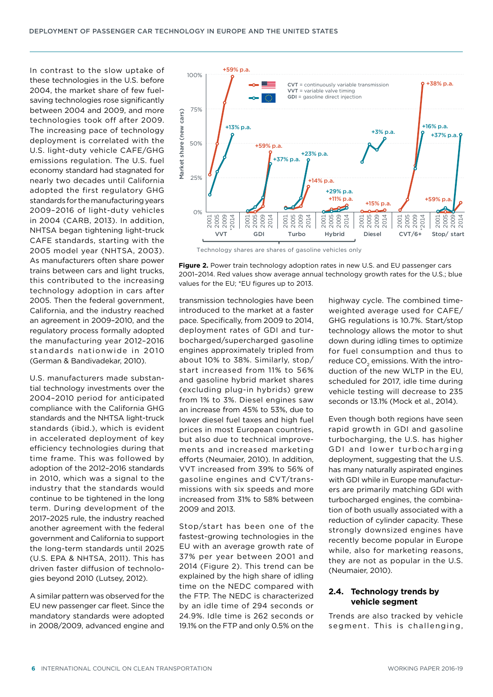In contrast to the slow uptake of these technologies in the U.S. before 2004, the market share of few fuelsaving technologies rose significantly between 2004 and 2009, and more technologies took off after 2009. The increasing pace of technology deployment is correlated with the U.S. light-duty vehicle CAFE/GHG emissions regulation. The U.S. fuel economy standard had stagnated for nearly two decades until California adopted the first regulatory GHG standards for the manufacturing years 2009–2016 of light-duty vehicles in 2004 (CARB, 2013). In addition, NHTSA began tightening light-truck CAFE standards, starting with the 2005 model year (NHTSA, 2003). As manufacturers often share power trains between cars and light trucks, this contributed to the increasing technology adoption in cars after 2005. Then the federal government, California, and the industry reached an agreement in 2009–2010, and the regulatory process formally adopted the manufacturing year 2012–2016 standards nationwide in 2010 (German & Bandivadekar, 2010).

U.S. manufacturers made substantial technology investments over the 2004–2010 period for anticipated compliance with the California GHG standards and the NHTSA light-truck standards (ibid.), which is evident in accelerated deployment of key efficiency technologies during that time frame. This was followed by adoption of the 2012–2016 standards in 2010, which was a signal to the industry that the standards would continue to be tightened in the long term. During development of the 2017–2025 rule, the industry reached another agreement with the federal government and California to support the long-term standards until 2025 (U.S. EPA & NHTSA, 2011). This has driven faster diffusion of technologies beyond 2010 (Lutsey, 2012).

A similar pattern was observed for the EU new passenger car fleet. Since the mandatory standards were adopted in 2008/2009, advanced engine and



Technology shares are shares of gasoline vehicles only

**Figure 2.** Power train technology adoption rates in new U.S. and EU passenger cars 2001–2014. Red values show average annual technology growth rates for the U.S.; blue values for the EU; \*EU figures up to 2013.

transmission technologies have been introduced to the market at a faster pace. Specifically, from 2009 to 2014, deployment rates of GDI and turbocharged/supercharged gasoline engines approximately tripled from about 10% to 38%. Similarly, stop/ start increased from 11% to 56% and gasoline hybrid market shares (excluding plug-in hybrids) grew from 1% to 3%. Diesel engines saw an increase from 45% to 53%, due to lower diesel fuel taxes and high fuel prices in most European countries, but also due to technical improvements and increased marketing efforts (Neumaier, 2010). In addition, VVT increased from 39% to 56% of gasoline engines and CVT/transmissions with six speeds and more increased from 31% to 58% between 2009 and 2013.

Stop/start has been one of the fastest-growing technologies in the EU with an average growth rate of 37% per year between 2001 and 2014 (Figure 2). This trend can be explained by the high share of idling time on the NEDC compared with the FTP. The NEDC is characterized by an idle time of 294 seconds or 24.9%. Idle time is 262 seconds or 19.1% on the FTP and only 0.5% on the

highway cycle. The combined timeweighted average used for CAFE/ GHG regulations is 10.7%. Start/stop technology allows the motor to shut down during idling times to optimize for fuel consumption and thus to reduce CO<sub>2</sub> emissions. With the introduction of the new WLTP in the EU, scheduled for 2017, idle time during vehicle testing will decrease to 235 seconds or 13.1% (Mock et al., 2014).

Even though both regions have seen rapid growth in GDI and gasoline turbocharging, the U.S. has higher GDI and lower turbocharging deployment, suggesting that the U.S. has many naturally aspirated engines with GDI while in Europe manufacturers are primarily matching GDI with turbocharged engines, the combination of both usually associated with a reduction of cylinder capacity. These strongly downsized engines have recently become popular in Europe while, also for marketing reasons, they are not as popular in the U.S. (Neumaier, 2010).

#### <span id="page-5-0"></span>**2.4. Technology trends by vehicle segment**

Trends are also tracked by vehicle segment. This is challenging,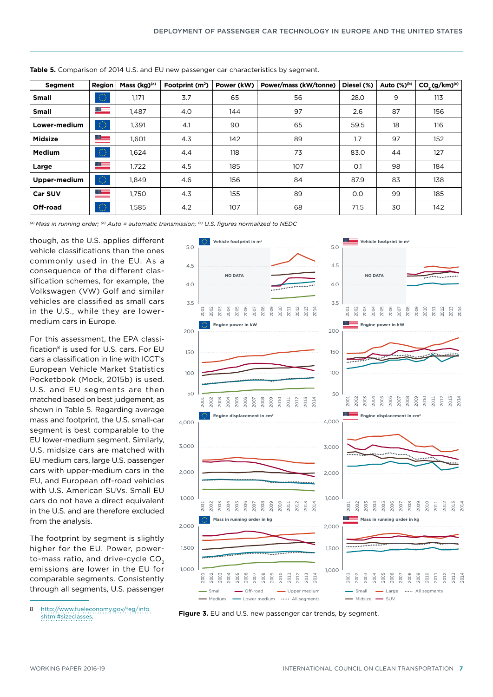| Segment        | Region     | Mass (kg) <sup>(a)</sup> | Footprint $(m2)$ | Power (kW) | Power/mass (kW/tonne) | Diesel (%) | Auto (%) <sup>(b)</sup> | CO <sub>2</sub> (g/km) <sup>(c)</sup> |
|----------------|------------|--------------------------|------------------|------------|-----------------------|------------|-------------------------|---------------------------------------|
| <b>Small</b>   | $\bigcirc$ | 1,171                    | 3.7              | 65         | 56                    | 28.0       | 9                       | 113                                   |
| <b>Small</b>   | ▀          | 1,487                    | 4.0              | 144        | 97                    | 2.6        | 87                      | 156                                   |
| Lower-medium   | $\bigcirc$ | 1,391                    | 4.1              | 90         | 65                    | 59.5       | 18                      | 116                                   |
| <b>Midsize</b> | ▀          | 1,601                    | 4.3              | 142        | 89                    | 1.7        | 97                      | 152                                   |
| <b>Medium</b>  | $\bigcirc$ | 1,624                    | 4.4              | 118        | 73                    | 83.0       | 44                      | 127                                   |
| Large          | ▀          | 1,722                    | 4.5              | 185        | 107                   | O.1        | 98                      | 184                                   |
| Upper-medium   | $\bigcirc$ | 1,849                    | 4.6              | 156        | 84                    | 87.9       | 83                      | 138                                   |
| <b>Car SUV</b> | ▀          | 1,750                    | 4.3              | 155        | 89                    | O.O        | 99                      | 185                                   |
| Off-road       | $\bigcirc$ | 1,585                    | 4.2              | 107        | 68                    | 71.5       | 30                      | 142                                   |

**Table 5.** Comparison of 2014 U.S. and EU new passenger car characteristics by segment.

*(a) Mass in running order; (b) Auto = automatic transmission; (c) U.S. figures normalized to NEDC*

though, as the U.S. applies different vehicle classifications than the ones commonly used in the EU. As a consequence of the different classification schemes, for example, the Volkswagen (VW) Golf and similar vehicles are classified as small cars in the U.S., while they are lowermedium cars in Europe.

For this assessment, the EPA classification<sup>8</sup> is used for U.S. cars. For EU cars a classification in line with ICCT's European Vehicle Market Statistics Pocketbook (Mock, 2015b) is used. U.S. and EU segments are then matched based on best judgement, as shown in Table 5. Regarding average mass and footprint, the U.S. small-car segment is best comparable to the EU lower-medium segment. Similarly, U.S. midsize cars are matched with EU medium cars, large U.S. passenger cars with upper-medium cars in the EU, and European off-road vehicles with U.S. American SUVs. Small EU cars do not have a direct equivalent in the U.S. and are therefore excluded from the analysis.

The footprint by segment is slightly higher for the EU. Power, powerto-mass ratio, and drive-cycle CO<sub>2</sub> emissions are lower in the EU for comparable segments. Consistently through all segments, U.S. passenger

<sup>8</sup> [http://www.fueleconomy.gov/feg/info.](http://www.fueleconomy.gov/feg/info.shtml#sizeclasses) [shtml#sizeclasses](http://www.fueleconomy.gov/feg/info.shtml#sizeclasses).



**Figure 3.** EU and U.S. new passenger car trends, by segment.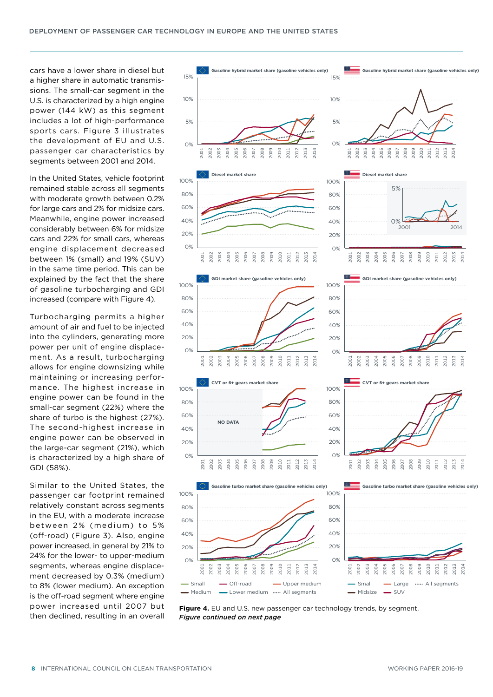cars have a lower share in diesel but a higher share in automatic transmissions. The small-car segment in the U.S. is characterized by a high engine power (144 kW) as this segment includes a lot of high-performance sports cars. Figure 3 illustrates the development of EU and U.S. passenger car characteristics by segments between 2001 and 2014.

In the United States, vehicle footprint remained stable across all segments with moderate growth between 0.2% for large cars and 2% for midsize cars. Meanwhile, engine power increased considerably between 6% for midsize cars and 22% for small cars, whereas engine displacement decreased between 1% (small) and 19% (SUV) in the same time period. This can be explained by the fact that the share of gasoline turbocharging and GDI increased (compare with Figure 4).

Turbocharging permits a higher amount of air and fuel to be injected into the cylinders, generating more power per unit of engine displacement. As a result, turbocharging allows for engine downsizing while maintaining or increasing performance. The highest increase in engine power can be found in the small-car segment (22%) where the share of turbo is the highest (27%). The second-highest increase in engine power can be observed in the large-car segment (21%), which is characterized by a high share of GDI (58%).

Similar to the United States, the passenger car footprint remained relatively constant across segments in the EU, with a moderate increase between 2% (medium) to 5% (off-road) (Figure 3). Also, engine power increased, in general by 21% to 24% for the lower- to upper-medium segments, whereas engine displacement decreased by 0.3% (medium) to 8% (lower medium). An exception is the off-road segment where engine power increased until 2007 but then declined, resulting in an overall



Figure 4. EU and U.S. new passenger car technology trends, by segment. *Figure continued on next page*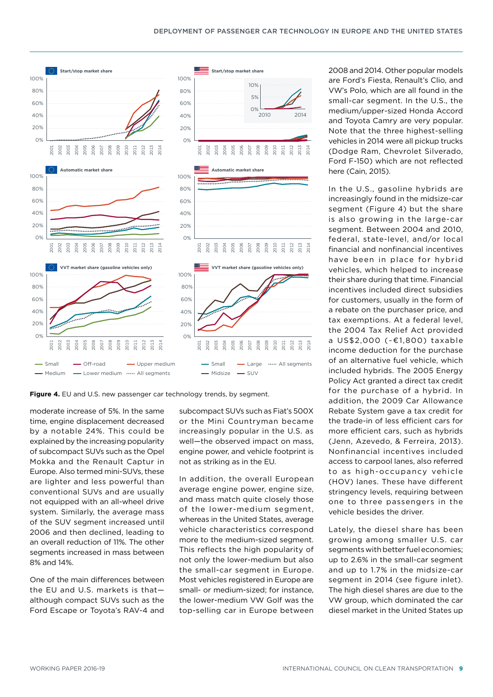

Figure 4. EU and U.S. new passenger car technology trends, by segment.

moderate increase of 5%. In the same time, engine displacement decreased by a notable 24%. This could be explained by the increasing popularity of subcompact SUVs such as the Opel Mokka and the Renault Captur in Europe. Also termed mini-SUVs, these are lighter and less powerful than conventional SUVs and are usually not equipped with an all-wheel drive system. Similarly, the average mass of the SUV segment increased until 2006 and then declined, leading to an overall reduction of 11%. The other segments increased in mass between 8% and 14%.

One of the main differences between the EU and U.S. markets is that although compact SUVs such as the Ford Escape or Toyota's RAV-4 and subcompact SUVs such as Fiat's 500X or the Mini Countryman became increasingly popular in the U.S. as well—the observed impact on mass, engine power, and vehicle footprint is not as striking as in the EU.

In addition, the overall European average engine power, engine size, and mass match quite closely those of the lower-medium segment, whereas in the United States, average vehicle characteristics correspond more to the medium-sized segment. This reflects the high popularity of not only the lower-medium but also the small-car segment in Europe. Most vehicles registered in Europe are small- or medium-sized; for instance, the lower-medium VW Golf was the top-selling car in Europe between

2008 and 2014. Other popular models are Ford's Fiesta, Renault's Clio, and VW's Polo, which are all found in the small-car segment. In the U.S., the medium/upper-sized Honda Accord and Toyota Camry are very popular. Note that the three highest-selling vehicles in 2014 were all pickup trucks (Dodge Ram, Chevrolet Silverado, Ford F-150) which are not reflected here (Cain, 2015).

In the U.S., gasoline hybrids are increasingly found in the midsize-car segment (Figure 4) but the share is also growing in the large-car segment. Between 2004 and 2010, federal, state-level, and/or local financial and nonfinancial incentives have been in place for hybrid vehicles, which helped to increase their share during that time. Financial incentives included direct subsidies for customers, usually in the form of a rebate on the purchaser price, and tax exemptions. At a federal level, the 2004 Tax Relief Act provided a US\$2,000 (~€1,800) taxable income deduction for the purchase of an alternative fuel vehicle, which included hybrids. The 2005 Energy Policy Act granted a direct tax credit for the purchase of a hybrid. In addition, the 2009 Car Allowance Rebate System gave a tax credit for the trade-in of less efficient cars for more efficient cars, such as hybrids (Jenn, Azevedo, & Ferreira, 2013). Nonfinancial incentives included access to carpool lanes, also referred to as high-occupancy vehicle (HOV) lanes. These have different stringency levels, requiring between one to three passengers in the vehicle besides the driver.

Lately, the diesel share has been growing among smaller U.S. car segments with better fuel economies; up to 2.6% in the small-car segment and up to 1.7% in the midsize-car segment in 2014 (see figure inlet). The high diesel shares are due to the VW group, which dominated the car diesel market in the United States up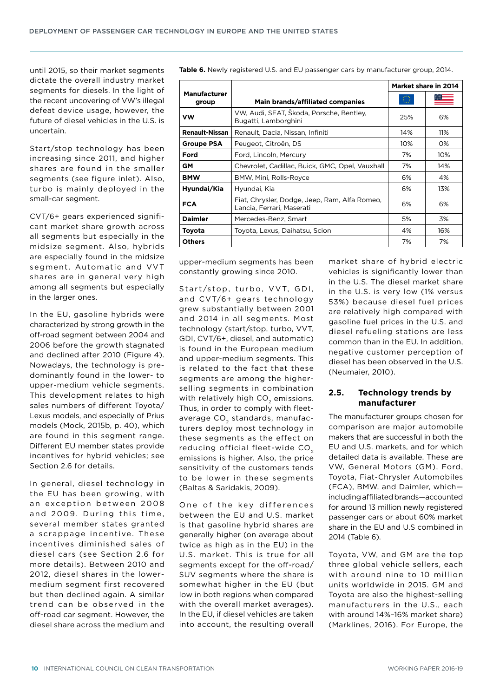until 2015, so their market segments dictate the overall industry market segments for diesels. In the light of the recent uncovering of VW's illegal defeat device usage, however, the future of diesel vehicles in the U.S. is uncertain.

Start/stop technology has been increasing since 2011, and higher shares are found in the smaller segments (see figure inlet). Also, turbo is mainly deployed in the small-car segment.

CVT/6+ gears experienced significant market share growth across all segments but especially in the midsize segment. Also, hybrids are especially found in the midsize segment. Automatic and VVT shares are in general very high among all segments but especially in the larger ones.

In the EU, gasoline hybrids were characterized by strong growth in the off-road segment between 2004 and 2006 before the growth stagnated and declined after 2010 (Figure 4). Nowadays, the technology is predominantly found in the lower- to upper-medium vehicle segments. This development relates to high sales numbers of different Toyota/ Lexus models, and especially of Prius models (Mock, 2015b, p. 40), which are found in this segment range. Different EU member states provide incentives for hybrid vehicles; see Section 2.6 for details.

In general, diesel technology in the EU has been growing, with an exception between 2008 and 2009. During this time, several member states granted a scrappage incentive. These incentives diminished sales of diesel cars (see Section 2.6 for more details). Between 2010 and 2012, diesel shares in the lowermedium segment first recovered but then declined again. A similar trend can be observed in the off-road car segment. However, the diesel share across the medium and

**Table 6.** Newly registered U.S. and EU passenger cars by manufacturer group, 2014.

|                              |                                                                            |     | Market share in 2014 |
|------------------------------|----------------------------------------------------------------------------|-----|----------------------|
| <b>Manufacturer</b><br>group | Main brands/affiliated companies                                           | 號   |                      |
| VW                           | VW, Audi, SEAT, Skoda, Porsche, Bentley,<br>Bugatti, Lamborghini           | 25% | 6%                   |
| <b>Renault-Nissan</b>        | Renault, Dacia, Nissan, Infiniti                                           | 14% | 11%                  |
| Groupe PSA                   | Peugeot, Citroën, DS                                                       | 10% | 0%                   |
| Ford                         | Ford, Lincoln, Mercury                                                     | 7%  | 10%                  |
| <b>GM</b>                    | Chevrolet, Cadillac, Buick, GMC, Opel, Vauxhall                            | 7%  | 14%                  |
| <b>BMW</b>                   | BMW, Mini, Rolls-Royce                                                     | 6%  | 4%                   |
| Hyundai/Kia                  | Hyundai, Kia                                                               | 6%  | 13%                  |
| <b>FCA</b>                   | Fiat, Chrysler, Dodge, Jeep, Ram, Alfa Romeo,<br>Lancia, Ferrari, Maserati | 6%  | 6%                   |
| <b>Daimler</b>               | Mercedes-Benz, Smart                                                       | 5%  | 3%                   |
| Toyota                       | Toyota, Lexus, Daihatsu, Scion<br>4%                                       |     | 16%                  |
| <b>Others</b>                |                                                                            | 7%  | 7%                   |

upper-medium segments has been constantly growing since 2010.

Start/stop, turbo, VVT, GDI, and CVT/6+ gears technology grew substantially between 2001 and 2014 in all segments. Most technology (start/stop, turbo, VVT, GDI, CVT/6+, diesel, and automatic) is found in the European medium and upper-medium segments. This is related to the fact that these segments are among the higherselling segments in combination with relatively high CO<sub>2</sub> emissions. Thus, in order to comply with fleetaverage CO<sub>2</sub> standards, manufacturers deploy most technology in these segments as the effect on reducing official fleet-wide  $CO<sub>2</sub>$ emissions is higher. Also, the price sensitivity of the customers tends to be lower in these segments (Baltas & Saridakis, 2009).

One of the key differences between the EU and U.S. market is that gasoline hybrid shares are generally higher (on average about twice as high as in the EU) in the U.S. market. This is true for all segments except for the off-road/ SUV segments where the share is somewhat higher in the EU (but low in both regions when compared with the overall market averages). In the EU, if diesel vehicles are taken into account, the resulting overall

market share of hybrid electric vehicles is significantly lower than in the U.S. The diesel market share in the U.S. is very low (1% versus 53%) because diesel fuel prices are relatively high compared with gasoline fuel prices in the U.S. and diesel refueling stations are less common than in the EU. In addition, negative customer perception of diesel has been observed in the U.S. (Neumaier, 2010).

#### <span id="page-9-1"></span>**2.5. Technology trends by manufacturer**

The manufacturer groups chosen for comparison are major automobile makers that are successful in both the EU and U.S. markets, and for which detailed data is available. These are VW, General Motors (GM), Ford, Toyota, Fiat-Chrysler Automobiles (FCA), BMW, and Daimler, which including affiliated brands—accounted for around 13 million newly registered passenger cars or about 60% market share in the EU and U.S combined in 2014 [\(Table 6](#page-9-0)).

<span id="page-9-0"></span>Toyota, VW, and GM are the top three global vehicle sellers, each with around nine to 10 million units worldwide in 2015. GM and Toyota are also the highest-selling manufacturers in the U.S., each with around 14%–16% market share) (Marklines, 2016). For Europe, the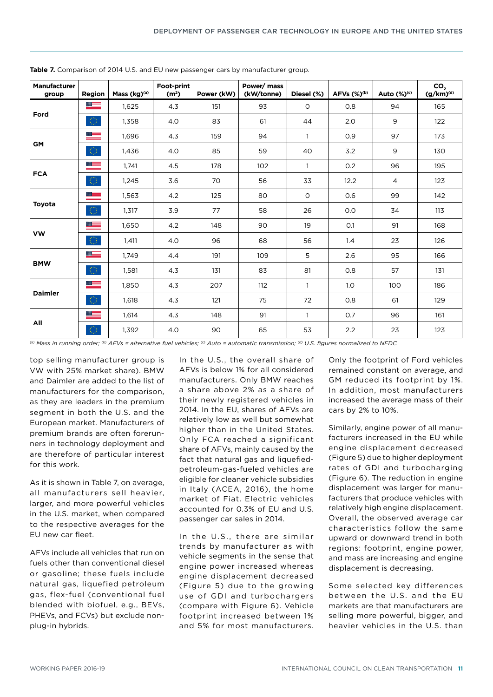| <b>Manufacturer</b><br>group | Region       | Mass (kg)(a) | Foot-print<br>(m <sup>2</sup> ) | Power (kW) | Power/ mass<br>(kW/tonne) | Diesel (%)   | AFVs (%) <sup>(b)</sup> | Auto $(\%)^{(c)}$ | $\mathsf{co}_2$<br>$(g/km)^{(d)}$ |
|------------------------------|--------------|--------------|---------------------------------|------------|---------------------------|--------------|-------------------------|-------------------|-----------------------------------|
|                              | ≡            | 1,625        | 4.3                             | 151        | 93                        | $\circ$      | 0.8                     | 94                | 165                               |
| Ford                         | $\bigcirc$   | 1,358        | 4.0                             | 83         | 61                        | 44           | 2.0                     | 9                 | 122                               |
|                              | ▆▆           | 1,696        | 4.3                             | 159        | 94                        | $\mathbf{1}$ | 0.9                     | 97                | 173                               |
| <b>GM</b>                    | $\bigcirc$   | 1,436        | 4.0                             | 85         | 59                        | 40           | 3.2                     | 9                 | 130                               |
|                              | ≡            | 1,741        | 4.5                             | 178        | 102                       | $\mathbf{1}$ | 0.2                     | 96                | 195                               |
| <b>FCA</b>                   | $\mathbb{O}$ | 1,245        | 3.6                             | 70         | 56                        | 33           | 12.2                    | $\overline{4}$    | 123                               |
|                              | █            | 1,563        | 4.2                             | 125        | 80                        | $\circ$      | 0.6                     | 99                | 142                               |
| Toyota                       | $\bigcirc$   | 1,317        | 3.9                             | 77         | 58                        | 26           | O.O                     | 34                | 113                               |
|                              |              | 1,650        | 4.2                             | 148        | 90                        | 19           | O.1                     | 91                | 168                               |
| <b>VW</b>                    | $\bigcirc$   | 1,411        | 4.0                             | 96         | 68                        | 56           | 1.4                     | 23                | 126                               |
|                              |              | 1,749        | 4.4                             | 191        | 109                       | 5            | 2.6                     | 95                | 166                               |
| <b>BMW</b>                   | $\bigcirc$   | 1,581        | 4.3                             | 131        | 83                        | 81           | 0.8                     | 57                | 131                               |
|                              |              | 1,850        | 4.3                             | 207        | 112                       | $\mathbf{1}$ | 1.0                     | 100               | 186                               |
| <b>Daimler</b>               | $\bigcirc$   | 1.618        | 4.3                             | 121        | 75                        | 72           | 0.8                     | 61                | 129                               |
|                              | ▓▅▅          | 1,614        | 4.3                             | 148        | 91                        | $\mathbf{1}$ | 0.7                     | 96                | 161                               |
| All                          | $\bigcirc$   | 1.392        | 4.0                             | 90         | 65                        | 53           | 2.2                     | 23                | 123                               |

**Table 7.** Comparison of 2014 U.S. and EU new passenger cars by manufacturer group.

*(a) Mass in running order; (b) AFVs = alternative fuel vehicles; (c) Auto = automatic transmission; (d) U.S. figures normalized to NEDC*

top selling manufacturer group is VW with 25% market share). BMW and Daimler are added to the list of manufacturers for the comparison, as they are leaders in the premium segment in both the U.S. and the European market. Manufacturers of premium brands are often forerunners in technology deployment and are therefore of particular interest for this work.

As it is shown in [Table 7](#page-10-0), on average, all manufacturers sell heavier, larger, and more powerful vehicles in the U.S. market, when compared to the respective averages for the EU new car fleet.

<span id="page-10-0"></span>AFVs include all vehicles that run on fuels other than conventional diesel or gasoline; these fuels include natural gas, liquefied petroleum gas, flex-fuel (conventional fuel blended with biofuel, e.g., BEVs, PHEVs, and FCVs) but exclude nonplug-in hybrids.

In the U.S., the overall share of AFVs is below 1% for all considered manufacturers. Only BMW reaches a share above 2% as a share of their newly registered vehicles in 2014. In the EU, shares of AFVs are relatively low as well but somewhat higher than in the United States. Only FCA reached a significant share of AFVs, mainly caused by the fact that natural gas and liquefiedpetroleum-gas-fueled vehicles are eligible for cleaner vehicle subsidies in Italy (ACEA, 2016), the home market of Fiat. Electric vehicles accounted for 0.3% of EU and U.S. passenger car sales in 2014.

In the U.S., there are similar trends by manufacturer as with vehicle segments in the sense that engine power increased whereas engine displacement decreased (Figure 5) due to the growing use of GDI and turbochargers (compare with Figure 6). Vehicle footprint increased between 1% and 5% for most manufacturers. Only the footprint of Ford vehicles remained constant on average, and GM reduced its footprint by 1%. In addition, most manufacturers increased the average mass of their cars by 2% to 10%.

Similarly, engine power of all manufacturers increased in the EU while engine displacement decreased (Figure 5) due to higher deployment rates of GDI and turbocharging (Figure 6). The reduction in engine displacement was larger for manufacturers that produce vehicles with relatively high engine displacement. Overall, the observed average car characteristics follow the same upward or downward trend in both regions: footprint, engine power, and mass are increasing and engine displacement is decreasing.

Some selected key differences between the U.S. and the EU markets are that manufacturers are selling more powerful, bigger, and heavier vehicles in the U.S. than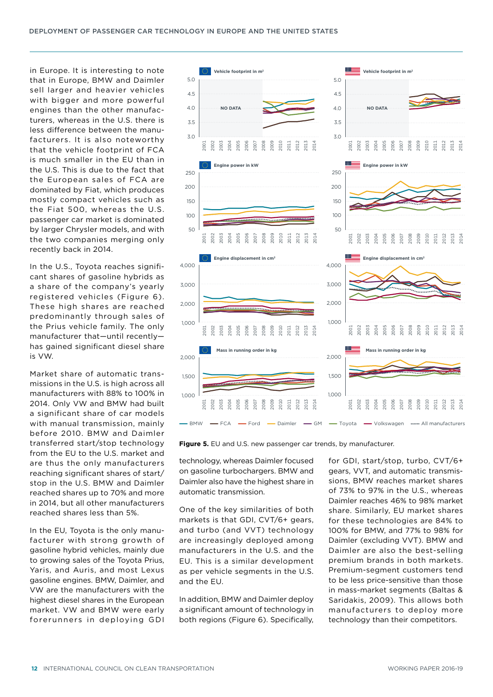in Europe. It is interesting to note that in Europe, BMW and Daimler sell larger and heavier vehicles with bigger and more powerful engines than the other manufacturers, whereas in the U.S. there is less difference between the manufacturers. It is also noteworthy that the vehicle footprint of FCA is much smaller in the EU than in the U.S. This is due to the fact that the European sales of FCA are dominated by Fiat, which produces mostly compact vehicles such as the Fiat 500, whereas the U.S. passenger car market is dominated by larger Chrysler models, and with the two companies merging only recently back in 2014.

In the U.S., Toyota reaches significant shares of gasoline hybrids as a share of the company's yearly registered vehicles (Figure 6). These high shares are reached predominantly through sales of the Prius vehicle family. The only manufacturer that—until recently has gained significant diesel share is VW.

Market share of automatic transmissions in the U.S. is high across all manufacturers with 88% to 100% in 2014. Only VW and BMW had built a significant share of car models with manual transmission, mainly before 2010. BMW and Daimler transferred start/stop technology from the EU to the U.S. market and are thus the only manufacturers reaching significant shares of start/ stop in the U.S. BMW and Daimler reached shares up to 70% and more in 2014, but all other manufacturers reached shares less than 5%.

In the EU, Toyota is the only manufacturer with strong growth of gasoline hybrid vehicles, mainly due to growing sales of the Toyota Prius, Yaris, and Auris, and most Lexus gasoline engines. BMW, Daimler, and VW are the manufacturers with the highest diesel shares in the European market. VW and BMW were early forerunners in deploying GDI



**Figure 5.** EU and U.S. new passenger car trends, by manufacturer.

technology, whereas Daimler focused on gasoline turbochargers. BMW and Daimler also have the highest share in automatic transmission.

One of the key similarities of both markets is that GDI, CVT/6+ gears, and turbo (and VVT) technology are increasingly deployed among manufacturers in the U.S. and the EU. This is a similar development as per vehicle segments in the U.S. and the EU.

In addition, BMW and Daimler deploy a significant amount of technology in both regions (Figure 6). Specifically,

for GDI, start/stop, turbo, CVT/6+ gears, VVT, and automatic transmissions, BMW reaches market shares of 73% to 97% in the U.S., whereas Daimler reaches 46% to 98% market share. Similarly, EU market shares for these technologies are 84% to 100% for BMW, and 77% to 98% for Daimler (excluding VVT). BMW and Daimler are also the best-selling premium brands in both markets. Premium-segment customers tend to be less price-sensitive than those in mass-market segments (Baltas & Saridakis, 2009). This allows both manufacturers to deploy more technology than their competitors.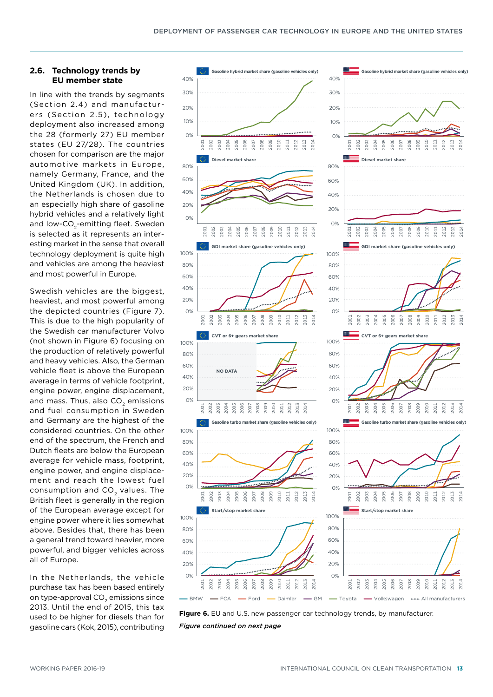2009 2010 2011 2012 2013 2014

 $\tilde{O}$ 2010 2011 2012 2013 2014

2009 2010 2011 2012 2013 2014

2009 2010 2011 2012 2013 2014

2009 2010 2011 2012 2013 2014

2009 2010 2011 2012 2013 2014

#### **2.6. Technology trends by EU member state**

In line with the trends by segments (Section [2.4\)](#page-5-0) and manufacturers (Section [2.5](#page-9-1)), technology deployment also increased among the 28 (formerly 27) EU member states (EU 27/28). The countries chosen for comparison are the major automotive markets in Europe, namely Germany, France, and the United Kingdom (UK). In addition, the Netherlands is chosen due to an especially high share of gasoline hybrid vehicles and a relatively light and low-CO<sub>2</sub>-emitting fleet. Sweden is selected as it represents an interesting market in the sense that overall technology deployment is quite high and vehicles are among the heaviest and most powerful in Europe.

Swedish vehicles are the biggest, heaviest, and most powerful among the depicted countries (Figure 7). This is due to the high popularity of the Swedish car manufacturer Volvo (not shown in Figure 6) focusing on the production of relatively powerful and heavy vehicles. Also, the German vehicle fleet is above the European average in terms of vehicle footprint, engine power, engine displacement, and mass. Thus, also CO<sub>2</sub> emissions and fuel consumption in Sweden and Germany are the highest of the considered countries. On the other end of the spectrum, the French and Dutch fleets are below the European average for vehicle mass, footprint, engine power, and engine displacement and reach the lowest fuel consumption and CO<sub>2</sub> values. The British fleet is generally in the region of the European average except for engine power where it lies somewhat above. Besides that, there has been a general trend toward heavier, more powerful, and bigger vehicles across all of Europe.

In the Netherlands, the vehicle purchase tax has been based entirely on type-approval CO<sub>2</sub> emissions since 2013. Until the end of 2015, this tax used to be higher for diesels than for gasoline cars (Kok, 2015), contributing





- BMW - FCA - Ford - Daimler - GM - Toyota - Volkswagen www. All manufacturers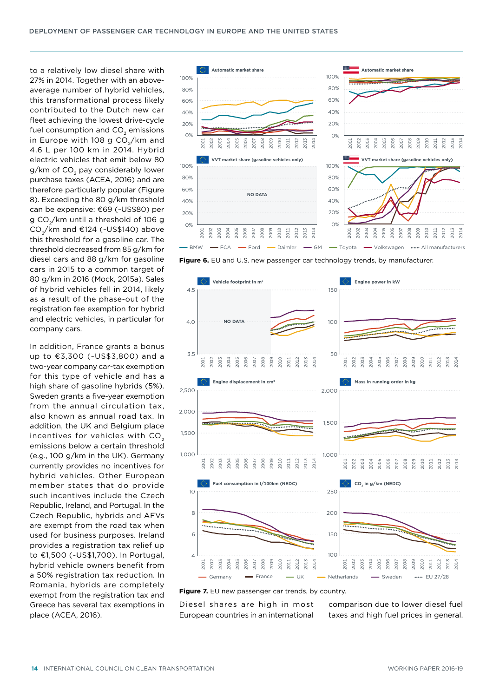to a relatively low diesel share with 27% in 2014. Together with an aboveaverage number of hybrid vehicles, this transformational process likely contributed to the Dutch new car fleet achieving the lowest drive-cycle fuel consumption and CO<sub>2</sub> emissions in Europe with 108 g  $CO<sub>2</sub>/km$  and 4.6 L per 100 km in 2014. Hybrid electric vehicles that emit below 80 g/km of CO<sub>2</sub> pay considerably lower purchase taxes (ACEA, 2016) and are therefore particularly popular (Figure 8). Exceeding the 80 g/km threshold can be expensive: €69 (~US\$80) per g CO<sub>2</sub>/km until a threshold of 106 g CO $\sqrt{}$ km and €124 (~US\$140) above this threshold for a gasoline car. The threshold decreased from 85 g/km for diesel cars and 88 g/km for gasoline cars in 2015 to a common target of 80 g/km in 2016 (Mock, 2015a). Sales of hybrid vehicles fell in 2014, likely as a result of the phase-out of the registration fee exemption for hybrid and electric vehicles, in particular for company cars.

In addition, France grants a bonus up to €3,300 (~US\$3,800) and a two-year company car-tax exemption for this type of vehicle and has a high share of gasoline hybrids (5%). Sweden grants a five-year exemption from the annual circulation tax, also known as annual road tax. In addition, the UK and Belgium place incentives for vehicles with CO<sub>2</sub> emissions below a certain threshold (e.g., 100 g/km in the UK). Germany currently provides no incentives for hybrid vehicles. Other European member states that do provide such incentives include the Czech Republic, Ireland, and Portugal. In the Czech Republic, hybrids and AFVs are exempt from the road tax when used for business purposes. Ireland provides a registration tax relief up to €1,500 (~US\$1,700). In Portugal, hybrid vehicle owners benefit from a 50% registration tax reduction. In Romania, hybrids are completely exempt from the registration tax and Greece has several tax exemptions in place (ACEA, 2016).



**Figure 6.** EU and U.S. new passenger car technology trends, by manufacturer.



Diesel shares are high in most European countries in an international

comparison due to lower diesel fuel taxes and high fuel prices in general.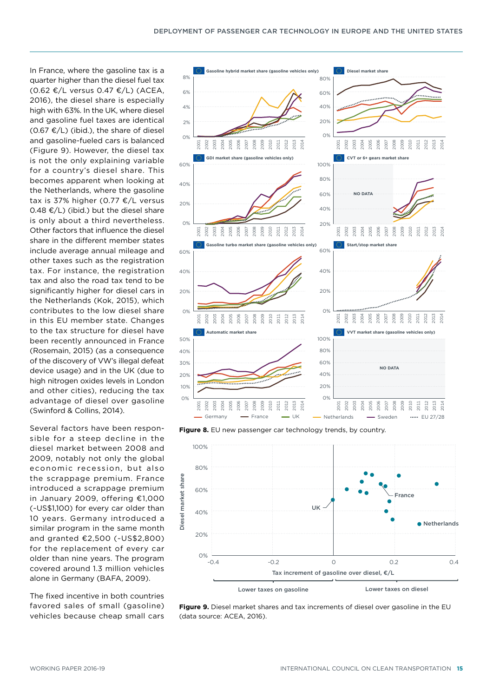In France, where the gasoline tax is a quarter higher than the diesel fuel tax (0.62 €/L versus 0.47 €/L) (ACEA, 2016), the diesel share is especially high with 63%. In the UK, where diesel and gasoline fuel taxes are identical  $(0.67 \text{ E/L})$  (ibid.), the share of diesel and gasoline-fueled cars is balanced (Figure 9). However, the diesel tax is not the only explaining variable for a country's diesel share. This becomes apparent when looking at the Netherlands, where the gasoline tax is 37% higher (0.77 €/L versus 0.48  $€/$ L) (ibid.) but the diesel share is only about a third nevertheless. Other factors that influence the diesel share in the different member states include average annual mileage and other taxes such as the registration tax. For instance, the registration tax and also the road tax tend to be significantly higher for diesel cars in the Netherlands (Kok, 2015), which contributes to the low diesel share in this EU member state. Changes to the tax structure for diesel have been recently announced in France (Rosemain, 2015) (as a consequence of the discovery of VW's illegal defeat device usage) and in the UK (due to high nitrogen oxides levels in London and other cities), reducing the tax advantage of diesel over gasoline (Swinford & Collins, 2014).

Several factors have been responsible for a steep decline in the diesel market between 2008 and 2009, notably not only the global economic recession, but also the scrappage premium. France introduced a scrappage premium in January 2009, offering €1,000 (~US\$1,100) for every car older than 10 years. Germany introduced a similar program in the same month and granted €2,500 (~US\$2,800) for the replacement of every car older than nine years. The program covered around 1.3 million vehicles alone in Germany (BAFA, 2009).

The fixed incentive in both countries favored sales of small (gasoline) vehicles because cheap small cars



Figure 8. EU new passenger car technology trends, by country.



**Figure 9.** Diesel market shares and tax increments of diesel over gasoline in the EU (data source: ACEA, 2016).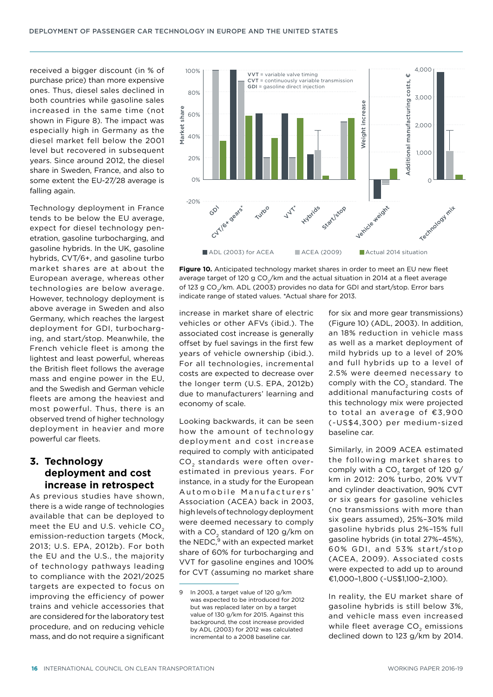received a bigger discount (in % of purchase price) than more expensive ones. Thus, diesel sales declined in both countries while gasoline sales increased in the same time (not shown in Figure 8). The impact was especially high in Germany as the diesel market fell below the 2001 level but recovered in subsequent years. Since around 2012, the diesel share in Sweden, France, and also to some extent the EU-27/28 average is falling again.

Technology deployment in France tends to be below the EU average, expect for diesel technology penetration, gasoline turbocharging, and gasoline hybrids. In the UK, gasoline hybrids, CVT/6+, and gasoline turbo market shares are at about the European average, whereas other technologies are below average. However, technology deployment is above average in Sweden and also Germany, which reaches the largest deployment for GDI, turbocharging, and start/stop. Meanwhile, the French vehicle fleet is among the lightest and least powerful, whereas the British fleet follows the average mass and engine power in the EU, and the Swedish and German vehicle fleets are among the heaviest and most powerful. Thus, there is an observed trend of higher technology deployment in heavier and more powerful car fleets.

## **3. Technology deployment and cost increase in retrospect**

As previous studies have shown, there is a wide range of technologies available that can be deployed to meet the EU and U.S. vehicle CO<sub>2</sub> emission-reduction targets (Mock, 2013; U.S. EPA, 2012b). For both the EU and the U.S., the majority of technology pathways leading to compliance with the 2021/2025 targets are expected to focus on improving the efficiency of power trains and vehicle accessories that are considered for the laboratory test procedure, and on reducing vehicle mass, and do not require a significant



**Figure 10.** Anticipated technology market shares in order to meet an EU new fleet average target of 120 g  $CO<sub>2</sub>/km$  and the actual situation in 2014 at a fleet average of 123 g CO<sub>2</sub>/km. ADL (2003) provides no data for GDI and start/stop. Error bars indicate range of stated values. \*Actual share for 2013.

increase in market share of electric vehicles or other AFVs (ibid.). The associated cost increase is generally offset by fuel savings in the first few years of vehicle ownership (ibid.). For all technologies, incremental costs are expected to decrease over the longer term (U.S. EPA, 2012b) due to manufacturers' learning and economy of scale.

Looking backwards, it can be seen how the amount of technology deployment and cost increase required to comply with anticipated CO<sub>2</sub> standards were often overestimated in previous years. For instance, in a study for the European Automobile Manufacturers' Association (ACEA) back in 2003, high levels of technology deployment were deemed necessary to comply with a CO<sub>2</sub> standard of 120 g/km on the NEDC, $9$  with an expected market share of 60% for turbocharging and VVT for gasoline engines and 100% for CVT (assuming no market share

for six and more gear transmissions) (Figure 10) (ADL, 2003). In addition, an 18% reduction in vehicle mass as well as a market deployment of mild hybrids up to a level of 20% and full hybrids up to a level of 2.5% were deemed necessary to comply with the CO<sub>2</sub> standard. The additional manufacturing costs of this technology mix were projected to total an average of €3,900 (~US\$4,300) per medium-sized baseline car.

Similarly, in 2009 ACEA estimated the following market shares to comply with a  $CO<sub>2</sub>$  target of 120 g/ km in 2012: 20% turbo, 20% VVT and cylinder deactivation, 90% CVT or six gears for gasoline vehicles (no transmissions with more than six gears assumed), 25%–30% mild gasoline hybrids plus 2%–15% full gasoline hybrids (in total 27%–45%), 60% GDI, and 53% start/stop (ACEA, 2009). Associated costs were expected to add up to around €1,000–1,800 (~US\$1,100–2,100).

In reality, the EU market share of gasoline hybrids is still below 3%, and vehicle mass even increased while fleet average CO<sub>2</sub> emissions declined down to 123 g/km by 2014.

<sup>9</sup> In 2003, a target value of 120 g/km was expected to be introduced for 2012 but was replaced later on by a target value of 130 g/km for 2015. Against this background, the cost increase provided by ADL (2003) for 2012 was calculated incremental to a 2008 baseline car.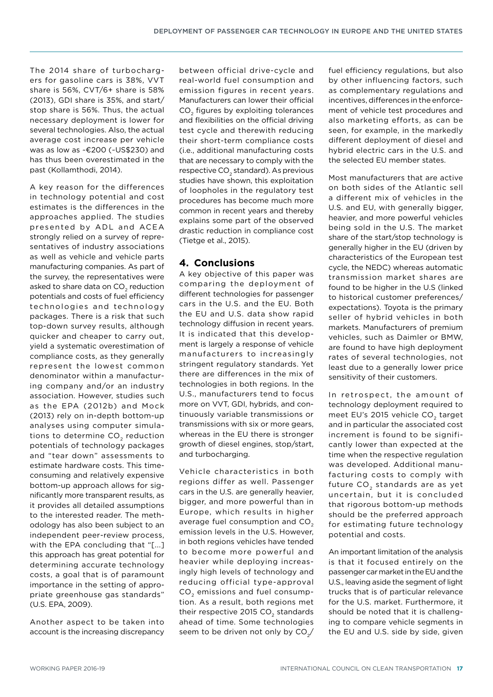The 2014 share of turbochargers for gasoline cars is 38%, VVT share is 56%, CVT/6+ share is 58% (2013), GDI share is 35%, and start/ stop share is 56%. Thus, the actual necessary deployment is lower for several technologies. Also, the actual average cost increase per vehicle was as low as ~€200 (~US\$230) and has thus been overestimated in the past (Kollamthodi, 2014).

A key reason for the differences in technology potential and cost estimates is the differences in the approaches applied. The studies presented by ADL and ACEA strongly relied on a survey of representatives of industry associations as well as vehicle and vehicle parts manufacturing companies. As part of the survey, the representatives were asked to share data on CO<sub>2</sub> reduction potentials and costs of fuel efficiency technologies and technology packages. There is a risk that such top-down survey results, although quicker and cheaper to carry out, yield a systematic overestimation of compliance costs, as they generally represent the lowest common denominator within a manufacturing company and/or an industry association. However, studies such as the EPA (2012b) and Mock (2013) rely on in-depth bottom-up analyses using computer simulations to determine  $CO<sub>2</sub>$  reduction potentials of technology packages and "tear down" assessments to estimate hardware costs. This timeconsuming and relatively expensive bottom-up approach allows for significantly more transparent results, as it provides all detailed assumptions to the interested reader. The methodology has also been subject to an independent peer-review process, with the EPA concluding that "[...] this approach has great potential for determining accurate technology costs, a goal that is of paramount importance in the setting of appropriate greenhouse gas standards" (U.S. EPA, 2009).

Another aspect to be taken into account is the increasing discrepancy between official drive-cycle and real-world fuel consumption and emission figures in recent years. Manufacturers can lower their official CO<sub>2</sub> figures by exploiting tolerances and flexibilities on the official driving test cycle and therewith reducing their short-term compliance costs (i.e., additional manufacturing costs that are necessary to comply with the respective CO<sub>2</sub> standard). As previous studies have shown, this exploitation of loopholes in the regulatory test procedures has become much more common in recent years and thereby explains some part of the observed drastic reduction in compliance cost (Tietge et al., 2015).

# **4. Conclusions**

A key objective of this paper was comparing the deployment of different technologies for passenger cars in the U.S. and the EU. Both the EU and U.S. data show rapid technology diffusion in recent years. It is indicated that this development is largely a response of vehicle manufacturers to increasingly stringent regulatory standards. Yet there are differences in the mix of technologies in both regions. In the U.S., manufacturers tend to focus more on VVT, GDI, hybrids, and continuously variable transmissions or transmissions with six or more gears, whereas in the EU there is stronger growth of diesel engines, stop/start, and turbocharging.

Vehicle characteristics in both regions differ as well. Passenger cars in the U.S. are generally heavier, bigger, and more powerful than in Europe, which results in higher average fuel consumption and CO<sub>2</sub> emission levels in the U.S. However, in both regions vehicles have tended to become more powerful and heavier while deploying increasingly high levels of technology and reducing official type-approval CO<sub>2</sub> emissions and fuel consumption. As a result, both regions met their respective 2015 CO<sub>2</sub> standards ahead of time. Some technologies seem to be driven not only by  $CO<sub>2</sub>/$  fuel efficiency regulations, but also by other influencing factors, such as complementary regulations and incentives, differences in the enforcement of vehicle test procedures and also marketing efforts, as can be seen, for example, in the markedly different deployment of diesel and hybrid electric cars in the U.S. and the selected EU member states.

Most manufacturers that are active on both sides of the Atlantic sell a different mix of vehicles in the U.S. and EU, with generally bigger, heavier, and more powerful vehicles being sold in the U.S. The market share of the start/stop technology is generally higher in the EU (driven by characteristics of the European test cycle, the NEDC) whereas automatic transmission market shares are found to be higher in the U.S (linked to historical customer preferences/ expectations). Toyota is the primary seller of hybrid vehicles in both markets. Manufacturers of premium vehicles, such as Daimler or BMW, are found to have high deployment rates of several technologies, not least due to a generally lower price sensitivity of their customers.

In retrospect, the amount of technology deployment required to meet EU's 2015 vehicle CO<sub>2</sub> target and in particular the associated cost increment is found to be significantly lower than expected at the time when the respective regulation was developed. Additional manufacturing costs to comply with future CO<sub>2</sub> standards are as yet uncertain, but it is concluded that rigorous bottom-up methods should be the preferred approach for estimating future technology potential and costs.

An important limitation of the analysis is that it focused entirely on the passenger car market in the EU and the U.S., leaving aside the segment of light trucks that is of particular relevance for the U.S. market. Furthermore, it should be noted that it is challenging to compare vehicle segments in the EU and U.S. side by side, given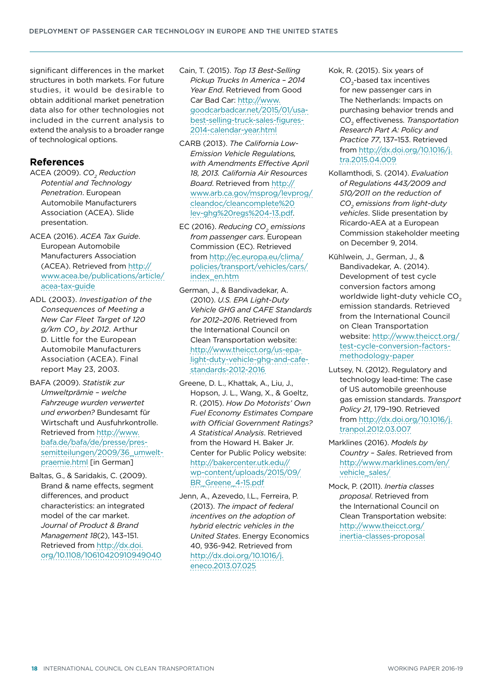significant differences in the market structures in both markets. For future studies, it would be desirable to obtain additional market penetration data also for other technologies not included in the current analysis to extend the analysis to a broader range of technological options.

## **References**

- ACEA (2009). CO<sub>2</sub> Reduction *Potential and Technology Penetration*. European Automobile Manufacturers Association (ACEA). Slide presentation.
- ACEA (2016). *ACEA Tax Guide*. European Automobile Manufacturers Association (ACEA). Retrieved from [http://](http://www.acea.be/publications/article/acea-tax-guide) [www.acea.be/publications/article/](http://www.acea.be/publications/article/acea-tax-guide) [acea-tax-guide](http://www.acea.be/publications/article/acea-tax-guide)
- ADL (2003). *Investigation of the Consequences of Meeting a New Car Fleet Target of 120 g/km CO2 by 2012*. Arthur D. Little for the European Automobile Manufacturers Association (ACEA). Final report May 23, 2003.
- BAFA (2009). *Statistik zur Umweltprämie – welche Fahrzeuge wurden verwertet und erworben?* Bundesamt für Wirtschaft und Ausfuhrkontrolle. Retrieved from [http://www.](http://www.bafa.de/bafa/de/presse/pressemitteilungen/2009/36_umweltpraemie.html) [bafa.de/bafa/de/presse/pres](http://www.bafa.de/bafa/de/presse/pressemitteilungen/2009/36_umweltpraemie.html)[semitteilungen/2009/36\\_umwelt](http://www.bafa.de/bafa/de/presse/pressemitteilungen/2009/36_umweltpraemie.html)[praemie.html](http://www.bafa.de/bafa/de/presse/pressemitteilungen/2009/36_umweltpraemie.html) [in German]
- Baltas, G., & Saridakis, C. (2009). Brand & name effects, segment differences, and product characteristics: an integrated model of the car market. *Journal of Product & Brand Management 18*(2), 143–151. Retrieved from [http://dx.doi.](http://dx.doi.org/10.1108/10610420910949040) [org/10.1108/10610420910949040](http://dx.doi.org/10.1108/10610420910949040)
- Cain, T. (2015). *Top 13 Best-Selling Pickup Trucks In America – 2014 Year End*. Retrieved from Good Car Bad Car: [http://www.](http://www.goodcarbadcar.net/2015/01/usa-best-selling-truck-sales-figures-2014-calendar-year.html) [goodcarbadcar.net/2015/01/usa](http://www.goodcarbadcar.net/2015/01/usa-best-selling-truck-sales-figures-2014-calendar-year.html)[best-selling-truck-sales-figures-](http://www.goodcarbadcar.net/2015/01/usa-best-selling-truck-sales-figures-2014-calendar-year.html)[2014-calendar-year.html](http://www.goodcarbadcar.net/2015/01/usa-best-selling-truck-sales-figures-2014-calendar-year.html)
- CARB (2013). *The California Low-Emission Vehicle Regulations, with Amendments Effective April 18, 2013. California Air Resources Board*. Retrieved from [http://](http://www.arb.ca.gov/msprog/levprog/cleandoc/cleancomplete%20lev-ghg%20regs%204-13.pdf) [www.arb.ca.gov/msprog/levprog/](http://www.arb.ca.gov/msprog/levprog/cleandoc/cleancomplete%20lev-ghg%20regs%204-13.pdf) [cleandoc/cleancomplete%20](http://www.arb.ca.gov/msprog/levprog/cleandoc/cleancomplete%20lev-ghg%20regs%204-13.pdf) [lev-ghg%20regs%204-13.pdf](http://www.arb.ca.gov/msprog/levprog/cleandoc/cleancomplete%20lev-ghg%20regs%204-13.pdf).
- EC (2016). *Reducing CO<sub>2</sub> emissions from passenger cars*. European Commission (EC). Retrieved from [http://ec.europa.eu/clima/](http://ec.europa.eu/clima/policies/transport/vehicles/cars/index_en.htm) [policies/transport/vehicles/cars/](http://ec.europa.eu/clima/policies/transport/vehicles/cars/index_en.htm) [index\\_en.htm](http://ec.europa.eu/clima/policies/transport/vehicles/cars/index_en.htm)
- German, J., & Bandivadekar, A. (2010). *U.S. EPA Light-Duty Vehicle GHG and CAFE Standards for 2012–2016*. Retrieved from the International Council on Clean Transportation website: [http://www.theicct.org/us-epa](http://www.theicct.org/us-epa-light-duty-vehicle-ghg-and-cafe-standards-2012-2016)[light-duty-vehicle-ghg-and-cafe](http://www.theicct.org/us-epa-light-duty-vehicle-ghg-and-cafe-standards-2012-2016)[standards-2012](http://www.theicct.org/us-epa-light-duty-vehicle-ghg-and-cafe-standards-2012-2016)-2016
- Greene, D. L., Khattak, A., Liu, J., Hopson, J. L., Wang, X., & Goeltz, R. (2015). *How Do Motorists' Own Fuel Economy Estimates Compare with Official Government Ratings? A Statistical Analysis*. Retrieved from the Howard H. Baker Jr. Center for Public Policy website: [http://bakercenter.utk.edu//](http://bakercenter.utk.edu//wp-content/uploads/2015/09/BR_Greene_4-15.pdf) [wp-content/uploads/2015/09/](http://bakercenter.utk.edu//wp-content/uploads/2015/09/BR_Greene_4-15.pdf) [BR\\_Greene\\_4-15.pdf](http://bakercenter.utk.edu//wp-content/uploads/2015/09/BR_Greene_4-15.pdf)
- Jenn, A., Azevedo, I.L., Ferreira, P. (2013). *The impact of federal incentives on the adoption of hybrid electric vehicles in the United States*. Energy Economics 40, 936-942. Retrieved from [http://dx.doi.org/10.1016/j.](http://dx.doi.org/10.1016/j.eneco.2013.07.025) [eneco.2013.07.025](http://dx.doi.org/10.1016/j.eneco.2013.07.025)
- Kok, R. (2015). Six years of CO<sub>2</sub>-based tax incentives for new passenger cars in The Netherlands: Impacts on purchasing behavior trends and CO2 effectiveness. *Transportation Research Part A: Policy and Practice 77*, 137–153. Retrieved from [http://dx.doi.org/10.1016/j.](http://dx.doi.org/10.1016/j.tra.2015.04.009) [tra.2015.04.009](http://dx.doi.org/10.1016/j.tra.2015.04.009)
- Kollamthodi, S. (2014). *Evaluation of Regulations 443/2009 and 510/2011 on the reduction of CO2 emissions from light-duty vehicles*. Slide presentation by Ricardo-AEA at a European Commission stakeholder meeting on December 9, 2014.
- Kühlwein, J., German, J., & Bandivadekar, A. (2014). Development of test cycle conversion factors among worldwide light-duty vehicle CO<sub>2</sub> emission standards. Retrieved from the International Council on Clean Transportation website: [http://www.theicct.org/](http://www.theicct.org/test-cycle-conversion-factors-methodology-paper) [test-cycle-conversion-factors](http://www.theicct.org/test-cycle-conversion-factors-methodology-paper)[methodology-paper](http://www.theicct.org/test-cycle-conversion-factors-methodology-paper)
- Lutsey, N. (2012). Regulatory and technology lead-time: The case of US automobile greenhouse gas emission standards. *Transport Policy 21*, 179–190. Retrieved from [http://dx.doi.org/10.1016/j.](http://dx.doi.org/10.1016/j.tranpol.2012.03.007) [tranpol.2012.03.007](http://dx.doi.org/10.1016/j.tranpol.2012.03.007)
- Marklines (2016). *Models by Country – Sales*. Retrieved from [http://www.marklines.com/en/](http://www.marklines.com/en/vehicle_sales/) [vehicle\\_sales/](http://www.marklines.com/en/vehicle_sales/)
- Mock, P. (2011). *Inertia classes proposal*. Retrieved from the International Council on Clean Transportation website: [http://www.theicct.org/](http://www.theicct.org/inertia-classes-proposal) [inertia-classes-proposal](http://www.theicct.org/inertia-classes-proposal)